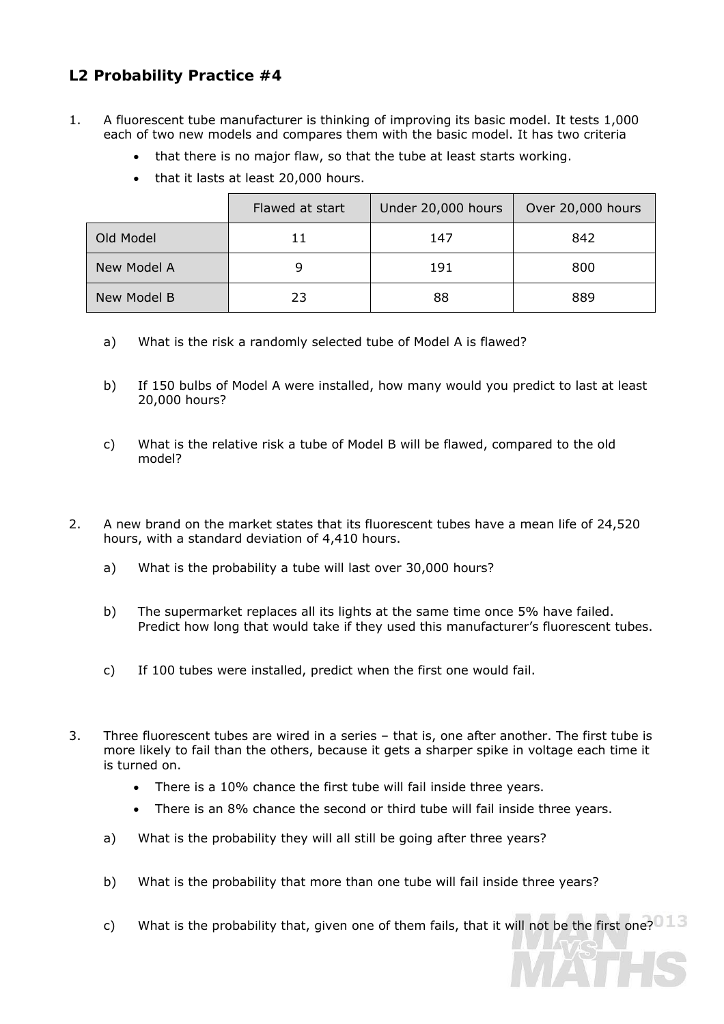## **L2 Probability Practice #4**

- 1. A fluorescent tube manufacturer is thinking of improving its basic model. It tests 1,000 each of two new models and compares them with the basic model. It has two criteria
	- that there is no major flaw, so that the tube at least starts working.
	- that it lasts at least 20,000 hours.

|             | Flawed at start | Under 20,000 hours | Over 20,000 hours |
|-------------|-----------------|--------------------|-------------------|
| Old Model   | 11              | 147                | 842               |
| New Model A |                 | 191                | 800               |
| New Model B | 23              | 88                 | 889               |

- a) What is the risk a randomly selected tube of Model A is flawed?
- b) If 150 bulbs of Model A were installed, how many would you predict to last at least 20,000 hours?
- c) What is the relative risk a tube of Model B will be flawed, compared to the old model?
- 2. A new brand on the market states that its fluorescent tubes have a mean life of 24,520 hours, with a standard deviation of 4,410 hours.
	- a) What is the probability a tube will last over 30,000 hours?
	- b) The supermarket replaces all its lights at the same time once 5% have failed. Predict how long that would take if they used this manufacturer's fluorescent tubes.
	- c) If 100 tubes were installed, predict when the first one would fail.
- 3. Three fluorescent tubes are wired in a series that is, one after another. The first tube is more likely to fail than the others, because it gets a sharper spike in voltage each time it is turned on.
	- There is a 10% chance the first tube will fail inside three years.
	- There is an 8% chance the second or third tube will fail inside three years.
	- a) What is the probability they will all still be going after three years?
	- b) What is the probability that more than one tube will fail inside three years?
	- c) What is the probability that, given one of them fails, that it will not be the first one?